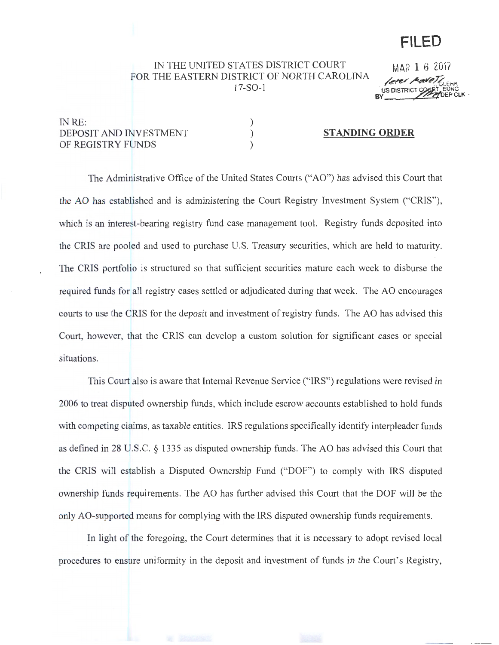# **FILED**

## IN THE UNITED STATES DISTRICT COURT FOR THE EASTERN DISTRICT OF NORTH CAROLINA 17-S0-1

) ) )

M.AR **1** 6 2017 leter Model **BY WAPPLEPCLK** '

# INRE: DEPOSIT AND INVESTMENT OF REGISTRY FUNDS

#### **STANDING ORDER**

The Administrative Office of the United States Courts ("AO") has advised this Court that the AO has established and is administering the Court Registry Investment System ("CRIS"), which is an interest-bearing registry fund case management tool. Registry funds deposited into the CRIS are pooled and used to purchase U.S. Treasury securities, which are held to maturity. The CRIS portfolio is structured so that sufficient securities mature each week to disburse the required funds for all registry cases settled or adjudicated during that week. The AO encourages courts to use the CRIS for the deposit and investment of registry funds. The AO has advised this Court, however, that the CRIS can develop a custom solution for significant cases or special situations.

This Court also is aware that Internal Revenue Service ("IRS") regulations were revised in 2006 to treat disputed ownership funds, which include escrow accounts established to hold funds with competing claims, as taxable entities. IRS regulations specifically identify interpleader funds as defined in 28 U.S.C. § 1335 as disputed ownership funds. The AO has advised this Court that the CRIS will establish a Disputed Ownership Fund ("DOF") to comply with IRS disputed ownership funds requirements. The AO has further advised this Court that the DOF will be the only AO-supported means for complying with the IRS disputed ownership funds requirements.

In light of the foregoing, the Court determines that it is necessary to adopt revised local procedures to ensure uniformity in the deposit and investment of funds in the Court's Registry,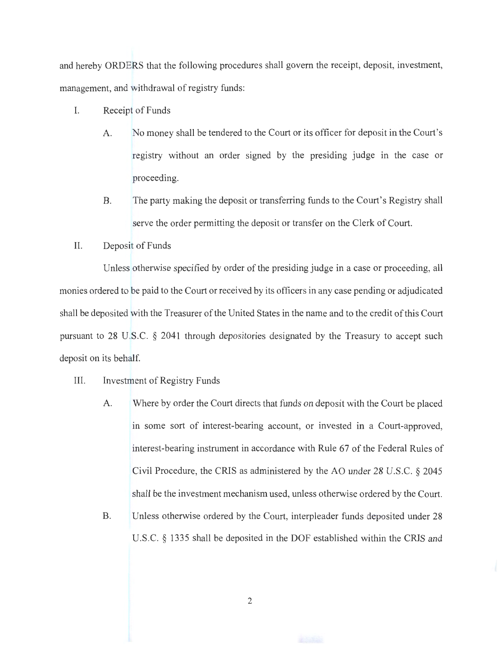and hereby ORDERS that the following procedures shall govern the receipt, deposit, investment, management, and withdrawal of registry funds:

- I. Receipt of Funds
	- A. No money shall be tendered to the Court or its officer for deposit in the Court's registry without an order signed by the presiding judge in the case or proceeding.
	- B. The party making the deposit or transferring funds to the Court's Registry shall serve the order permitting the deposit or transfer on the Clerk of Court.
- II. Deposit of Funds

Unless otherwise specified by order of the presiding judge in a case or proceeding, all monies ordered to be paid to the Court or received by its officers in any case pending or adjudicated shall be deposited with the Treasurer of the United States in the name and to the credit of this Court pursuant to 28 U.S.C. § 2041 through depositories designated by the Treasury to accept such deposit on its behalf.

- III. Investment of Registry Funds
	- A. Where by order the Court directs that funds on deposit with the Court be placed in some sort of interest-bearing account, or invested in a Court-approved, interest-bearing instrument in accordance with Rule 67 of the Federal Rules of Civil Procedure, the CRIS as administered by the AO under 28 U.S.C. § 2045 shall be the investment mechanism used, unless otherwise ordered by the Court.
	- B. Unless otherwise ordered by the Court, interpleader funds deposited under 28 U.S.C. § 1335 shall be deposited in the DOF established within the CRIS and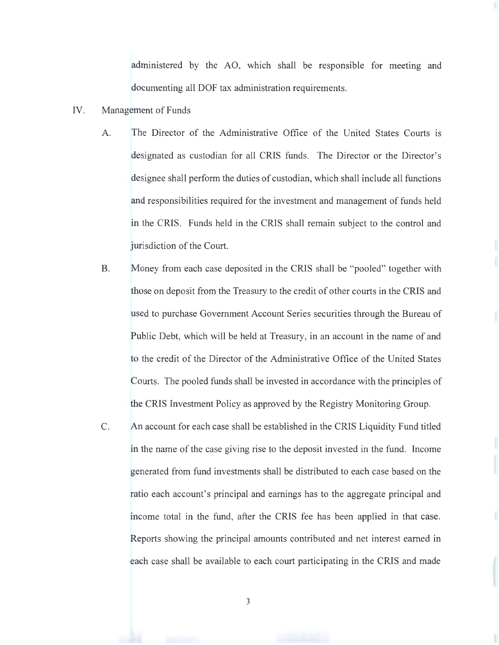administered by the AO, which shall be responsible for meeting and documenting all DOF tax administration requirements.

- IV. Management of Funds
	- A. The Director of the Administrative Office of the United States Courts is designated as custodian for all CRIS funds. The Director or the Director's designee shall perform the duties of custodian, which shall include all functions and responsibilities required for the investment and management of funds held in the CRIS. Funds held in the CRIS shall remain subject to the control and jurisdiction of the Court.
	- B. Money from each case deposited in the CRIS shall be "pooled" together with those on deposit from the Treasury to the credit of other courts in the CRIS and used to purchase Government Account Series securities through the Bureau of Public Debt, which will be held at Treasury, in an account in the name of and to the credit of the Director of the Administrative Office of the United States Courts. The pooled funds shall be invested in accordance with the principles of the CRIS Investment Policy as approved by the Registry Monitoring Group.
	- C. An account for each case shall be established in the CRIS Liquidity Fund titled in the name of the case giving rise to the deposit invested in the fund. Income generated from fund investments shall be distributed to each case based on the ratio each account's principal and earnings has to the aggregate principal and income total in the fund, after the CRIS fee has been applied in that case. Reports showing the principal amounts contributed and net interest earned in each case shall be available to each court participating in the CRIS and made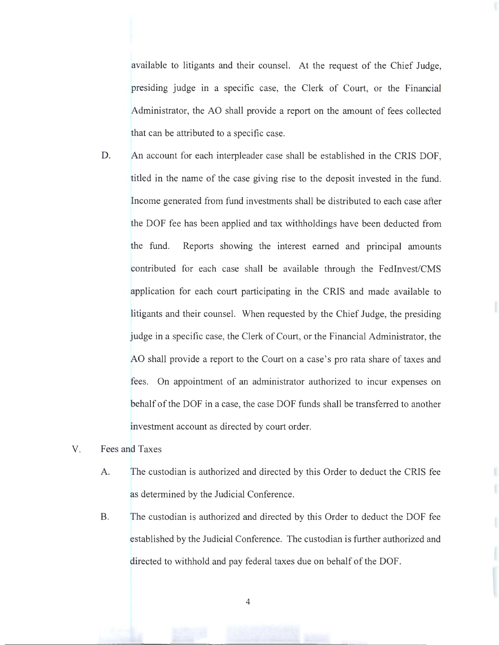available to litigants and their counsel. At the request of the Chief Judge, presiding judge in a specific case, the Clerk of Court, or the Financial Administrator, the AO shall provide a report on the amount of fees collected that can be attributed to a specific case.

- D. An account for each interpleader case shall be established in the CRIS DOF, titled in the name of the case giving rise to the deposit invested in the fund. Income generated from fund investments shall be distributed to each case after the DOF fee has been applied and tax withholdings have been deducted from the fund. Reports showing the interest earned and principal amounts contributed for each case shall be available through the Fedlnvest/CMS application for each court participating in the CRIS and made available to litigants and their counsel. When requested by the Chief Judge, the presiding judge in a specific case, the Clerk of Court, or the Financial Administrator, the AO shall provide a report to the Court on a case's pro rata share of taxes and fees. On appointment of an administrator authorized to incur expenses on behalf of the DOF in a case, the case DOF funds shall be transferred to another investment account as directed by court order.
- V. Fees and Taxes
	- A. The custodian is authorized and directed by this Order to deduct the CRIS fee as determined by the Judicial Conference.
	- B. The custodian is authorized and directed by this Order to deduct the DOF fee established by the Judicial Conference. The custodian is further authorized and directed to withhold and pay federal taxes due on behalf of the DOF.